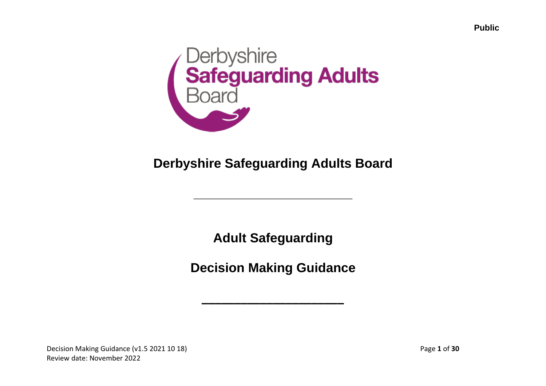

## **Derbyshire Safeguarding Adults Board**

**\_\_\_\_\_\_\_\_\_\_\_\_\_\_\_\_\_\_\_\_\_\_**

**Adult Safeguarding**

**Decision Making Guidance**

**\_\_\_\_\_\_\_\_\_\_\_\_\_\_\_\_\_\_\_\_\_\_**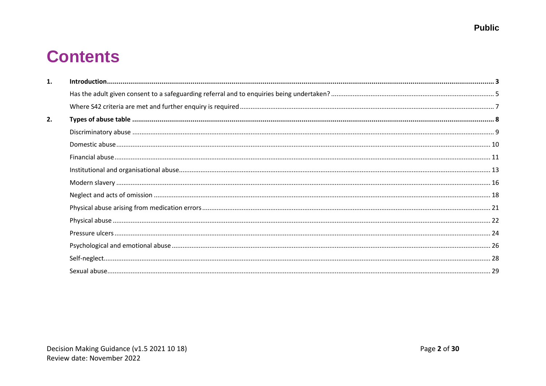# **Contents**

| 1. |  |
|----|--|
|    |  |
|    |  |
| 2. |  |
|    |  |
|    |  |
|    |  |
|    |  |
|    |  |
|    |  |
|    |  |
|    |  |
|    |  |
|    |  |
|    |  |
|    |  |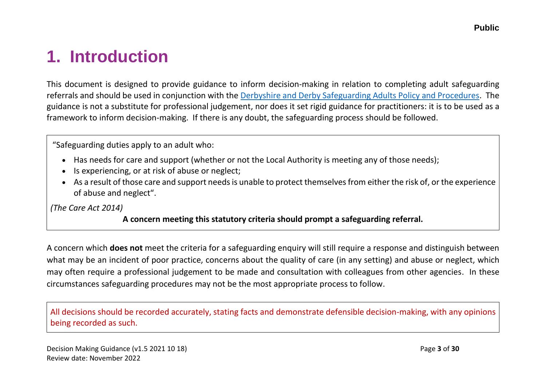# <span id="page-2-0"></span>**1. Introduction**

This document is designed to provide guidance to inform decision-making in relation to completing adult safeguarding referrals and should be used in conjunction with the [Derbyshire and Derby Safeguarding Adults Policy and Procedures.](https://www.derbyshiresab.org.uk/professionals/policies-and-procedures.aspx) The guidance is not a substitute for professional judgement, nor does it set rigid guidance for practitioners: it is to be used as a framework to inform decision-making. If there is any doubt, the safeguarding process should be followed.

"Safeguarding duties apply to an adult who:

- Has needs for care and support (whether or not the Local Authority is meeting any of those needs);
- Is experiencing, or at risk of abuse or neglect;
- As a result of those care and support needs is unable to protect themselves from either the risk of, or the experience of abuse and neglect".

*(The Care Act 2014)*

#### **A concern meeting this statutory criteria should prompt a safeguarding referral.**

A concern which **does not** meet the criteria for a safeguarding enquiry will still require a response and distinguish between what may be an incident of poor practice, concerns about the quality of care (in any setting) and abuse or neglect, which may often require a professional judgement to be made and consultation with colleagues from other agencies. In these circumstances safeguarding procedures may not be the most appropriate process to follow.

All decisions should be recorded accurately, stating facts and demonstrate defensible decision-making, with any opinions being recorded as such.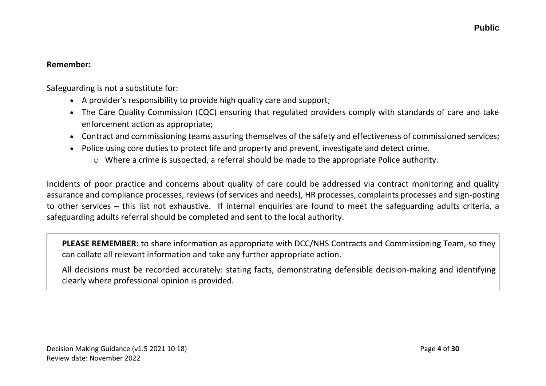#### **Remember:**

Safeguarding is not a substitute for:

- A provider's responsibility to provide high quality care and support;
- The Care Quality Commission (CQC) ensuring that regulated providers comply with standards of care and take enforcement action as appropriate;
- Contract and commissioning teams assuring themselves of the safety and effectiveness of commissioned services;
- Police using core duties to protect life and property and prevent, investigate and detect crime.
	- o Where a crime is suspected, a referral should be made to the appropriate Police authority.

Incidents of poor practice and concerns about quality of care could be addressed via contract monitoring and quality assurance and compliance processes, reviews (of services and needs), HR processes, complaints processes and sign-posting to other services – this list not exhaustive. If internal enquiries are found to meet the safeguarding adults criteria, a safeguarding adults referral should be completed and sent to the local authority.

**PLEASE REMEMBER:** to share information as appropriate with DCC/NHS Contracts and Commissioning Team, so they can collate all relevant information and take any further appropriate action.

All decisions must be recorded accurately: stating facts, demonstrating defensible decision-making and identifying clearly where professional opinion is provided.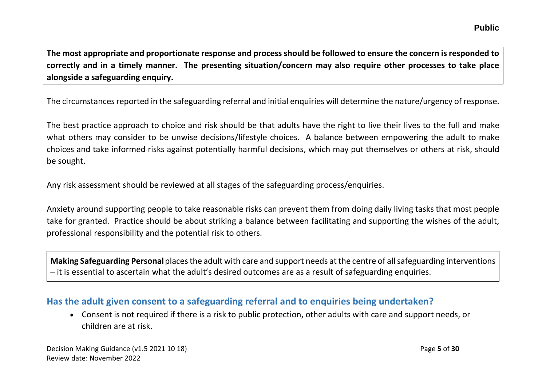**The most appropriate and proportionate response and process should be followed to ensure the concern is responded to correctly and in a timely manner. The presenting situation/concern may also require other processes to take place alongside a safeguarding enquiry.**

The circumstances reported in the safeguarding referral and initial enquiries will determine the nature/urgency of response.

The best practice approach to choice and risk should be that adults have the right to live their lives to the full and make what others may consider to be unwise decisions/lifestyle choices. A balance between empowering the adult to make choices and take informed risks against potentially harmful decisions, which may put themselves or others at risk, should be sought.

Any risk assessment should be reviewed at all stages of the safeguarding process/enquiries.

Anxiety around supporting people to take reasonable risks can prevent them from doing daily living tasks that most people take for granted. Practice should be about striking a balance between facilitating and supporting the wishes of the adult, professional responsibility and the potential risk to others.

**Making Safeguarding Personal**places the adult with care and support needs at the centre of all safeguarding interventions – it is essential to ascertain what the adult's desired outcomes are as a result of safeguarding enquiries.

### <span id="page-4-0"></span>**Has the adult given consent to a safeguarding referral and to enquiries being undertaken?**

• Consent is not required if there is a risk to public protection, other adults with care and support needs, or children are at risk.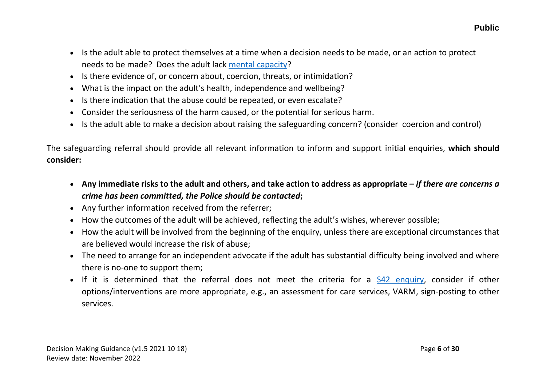- Is the adult able to protect themselves at a time when a decision needs to be made, or an action to protect needs to be made? Does the adult lack [mental capacity?](https://derbyshiresab-preview.derbyshire.gov.uk/professionals/mental-capacity-act.aspx)
- Is there evidence of, or concern about, coercion, threats, or intimidation?
- What is the impact on the adult's health, independence and wellbeing?
- Is there indication that the abuse could be repeated, or even escalate?
- Consider the seriousness of the harm caused, or the potential for serious harm.
- Is the adult able to make a decision about raising the safeguarding concern? (consider coercion and control)

The safeguarding referral should provide all relevant information to inform and support initial enquiries, **which should consider:**

- **Any immediate risks to the adult and others, and take action to address as appropriate –** *if there are concerns a crime has been committed, the Police should be contacted***;**
- Any further information received from the referrer;
- How the outcomes of the adult will be achieved, reflecting the adult's wishes, wherever possible;
- How the adult will be involved from the beginning of the enquiry, unless there are exceptional circumstances that are believed would increase the risk of abuse;
- The need to arrange for an independent advocate if the adult has substantial difficulty being involved and where there is no-one to support them;
- If it is determined that the referral does not meet the criteria for a [S42 enquiry,](https://derbyshiresab-preview.derbyshire.gov.uk/professionals/section-42-enquiries.aspx) consider if other options/interventions are more appropriate, e.g., an assessment for care services, VARM, sign-posting to other services.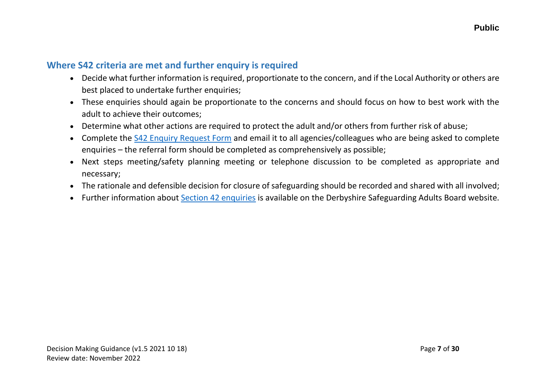### <span id="page-6-0"></span>**Where S42 criteria are met and further enquiry is required**

- Decide what further information is required, proportionate to the concern, and if the Local Authority or others are best placed to undertake further enquiries;
- These enquiries should again be proportionate to the concerns and should focus on how to best work with the adult to achieve their outcomes;
- Determine what other actions are required to protect the adult and/or others from further risk of abuse;
- Complete the [S42 Enquiry Request](https://derbyshiresab-preview.derbyshire.gov.uk/professionals/section-42-enquiries.aspx) Form and email it to all agencies/colleagues who are being asked to complete enquiries – the referral form should be completed as comprehensively as possible;
- Next steps meeting/safety planning meeting or telephone discussion to be completed as appropriate and necessary;
- The rationale and defensible decision for closure of safeguarding should be recorded and shared with all involved;
- Further information about [Section 42 enquiries](https://derbyshiresab-preview.derbyshire.gov.uk/professionals/section-42-enquiries.aspx) is available on the Derbyshire Safeguarding Adults Board website.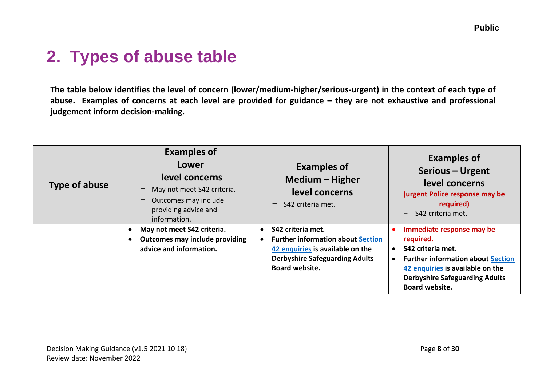# <span id="page-7-0"></span>**2. Types of abuse table**

**The table below identifies the level of concern (lower/medium-higher/serious-urgent) in the context of each type of abuse. Examples of concerns at each level are provided for guidance – they are not exhaustive and professional judgement inform decision-making.**

| <b>Type of abuse</b> | <b>Examples of</b><br>Lower<br>level concerns<br>May not meet S42 criteria.<br>Outcomes may include<br>providing advice and<br>information. | <b>Examples of</b><br>Medium - Higher<br>level concerns<br>$-$ S42 criteria met.                                                                                                 | <b>Examples of</b><br>Serious - Urgent<br>level concerns<br>(urgent Police response may be<br>required)<br>- S42 criteria met.                                                                                             |
|----------------------|---------------------------------------------------------------------------------------------------------------------------------------------|----------------------------------------------------------------------------------------------------------------------------------------------------------------------------------|----------------------------------------------------------------------------------------------------------------------------------------------------------------------------------------------------------------------------|
|                      | May not meet S42 criteria.<br><b>Outcomes may include providing</b><br>advice and information.                                              | S42 criteria met.<br>$\bullet$<br><b>Further information about Section</b><br>42 enquiries is available on the<br><b>Derbyshire Safeguarding Adults</b><br><b>Board website.</b> | Immediate response may be<br>required.<br>S42 criteria met.<br>$\bullet$<br><b>Further information about Section</b><br>42 enquiries is available on the<br><b>Derbyshire Safeguarding Adults</b><br><b>Board website.</b> |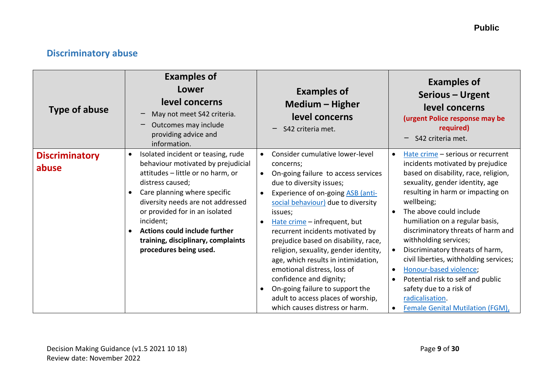## <span id="page-8-0"></span>**Discriminatory abuse**

| <b>Type of abuse</b>           | <b>Examples of</b><br>Lower<br>level concerns<br>May not meet S42 criteria.<br>Outcomes may include<br>providing advice and<br>information.                                                                                                                                                                                                                   | <b>Examples of</b><br>Medium - Higher<br>level concerns<br>S42 criteria met.                                                                                                                                                                                                                                                                                                                                                                                                                                                                                           | <b>Examples of</b><br>Serious - Urgent<br>level concerns<br>(urgent Police response may be<br>required)<br>S42 criteria met.                                                                                                                                                                                                                                                                                                                                                                                                                                                                                                    |
|--------------------------------|---------------------------------------------------------------------------------------------------------------------------------------------------------------------------------------------------------------------------------------------------------------------------------------------------------------------------------------------------------------|------------------------------------------------------------------------------------------------------------------------------------------------------------------------------------------------------------------------------------------------------------------------------------------------------------------------------------------------------------------------------------------------------------------------------------------------------------------------------------------------------------------------------------------------------------------------|---------------------------------------------------------------------------------------------------------------------------------------------------------------------------------------------------------------------------------------------------------------------------------------------------------------------------------------------------------------------------------------------------------------------------------------------------------------------------------------------------------------------------------------------------------------------------------------------------------------------------------|
| <b>Discriminatory</b><br>abuse | Isolated incident or teasing, rude<br>behaviour motivated by prejudicial<br>attitudes - little or no harm, or<br>distress caused;<br>Care planning where specific<br>diversity needs are not addressed<br>or provided for in an isolated<br>incident;<br><b>Actions could include further</b><br>training, disciplinary, complaints<br>procedures being used. | Consider cumulative lower-level<br>concerns;<br>On-going failure to access services<br>due to diversity issues;<br>Experience of on-going ASB (anti-<br>social behaviour) due to diversity<br>issues;<br>Hate crime - infrequent, but<br>recurrent incidents motivated by<br>prejudice based on disability, race,<br>religion, sexuality, gender identity,<br>age, which results in intimidation,<br>emotional distress, loss of<br>confidence and dignity;<br>On-going failure to support the<br>adult to access places of worship,<br>which causes distress or harm. | Hate crime - serious or recurrent<br>$\bullet$<br>incidents motivated by prejudice<br>based on disability, race, religion,<br>sexuality, gender identity, age<br>resulting in harm or impacting on<br>wellbeing;<br>The above could include<br>$\bullet$<br>humiliation on a regular basis,<br>discriminatory threats of harm and<br>withholding services;<br>Discriminatory threats of harm,<br>civil liberties, withholding services;<br>Honour-based violence;<br>$\bullet$<br>Potential risk to self and public<br>$\bullet$<br>safety due to a risk of<br>radicalisation.<br>Female Genital Mutilation (FGM),<br>$\bullet$ |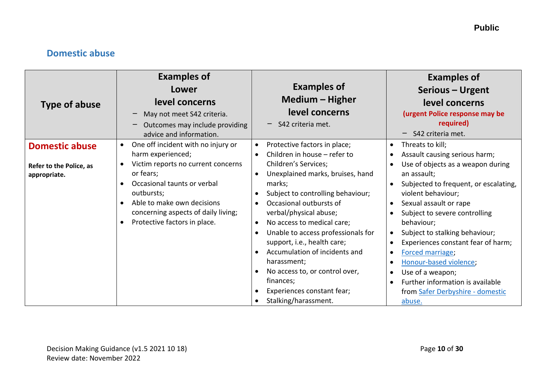## <span id="page-9-0"></span>**Domestic abuse**

| Type of abuse                           | <b>Examples of</b><br>Lower<br>level concerns<br>May not meet S42 criteria.<br>Outcomes may include providing<br>advice and information.                                                                                    | <b>Examples of</b><br>Medium – Higher<br>level concerns<br>$-$ S42 criteria met.                                                                                                                                                                                                                                                                                                                                                  | <b>Examples of</b><br>Serious - Urgent<br>level concerns<br>(urgent Police response may be<br>required)<br>S42 criteria met.                                                                                                                                                                                                                                                                                                                                |
|-----------------------------------------|-----------------------------------------------------------------------------------------------------------------------------------------------------------------------------------------------------------------------------|-----------------------------------------------------------------------------------------------------------------------------------------------------------------------------------------------------------------------------------------------------------------------------------------------------------------------------------------------------------------------------------------------------------------------------------|-------------------------------------------------------------------------------------------------------------------------------------------------------------------------------------------------------------------------------------------------------------------------------------------------------------------------------------------------------------------------------------------------------------------------------------------------------------|
| <b>Domestic abuse</b>                   | One off incident with no injury or<br>$\bullet$<br>harm experienced;                                                                                                                                                        | Protective factors in place;<br>Children in house - refer to                                                                                                                                                                                                                                                                                                                                                                      | Threats to kill;<br>$\bullet$<br>Assault causing serious harm;                                                                                                                                                                                                                                                                                                                                                                                              |
| Refer to the Police, as<br>appropriate. | Victim reports no current concerns<br>$\bullet$<br>or fears;<br>Occasional taunts or verbal<br>outbursts;<br>Able to make own decisions<br>concerning aspects of daily living;<br>Protective factors in place.<br>$\bullet$ | Children's Services;<br>Unexplained marks, bruises, hand<br>marks;<br>Subject to controlling behaviour;<br>Occasional outbursts of<br>verbal/physical abuse;<br>No access to medical care;<br>$\bullet$<br>Unable to access professionals for<br>support, i.e., health care;<br>Accumulation of incidents and<br>harassment;<br>No access to, or control over,<br>finances;<br>Experiences constant fear;<br>Stalking/harassment. | Use of objects as a weapon during<br>an assault;<br>Subjected to frequent, or escalating,<br>violent behaviour;<br>Sexual assault or rape<br>$\bullet$<br>Subject to severe controlling<br>behaviour;<br>Subject to stalking behaviour;<br>Experiences constant fear of harm;<br>Forced marriage;<br>$\bullet$<br>Honour-based violence;<br>Use of a weapon;<br>$\bullet$<br>Further information is available<br>from Safer Derbyshire - domestic<br>abuse. |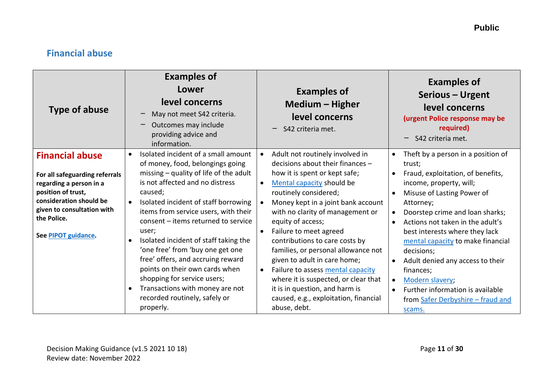## <span id="page-10-0"></span>**Financial abuse**

| <b>Type of abuse</b>                                                                                                                                                                                     | <b>Examples of</b><br>Lower<br>level concerns<br>May not meet S42 criteria.<br>Outcomes may include<br>providing advice and<br>information.                                                                                                                                                                                                                                                                                                                                                                                                              | <b>Examples of</b><br>Medium - Higher<br>level concerns<br>S42 criteria met.                                                                                                                                                                                                                                                                                                                                                                                                                                                                                                   | <b>Examples of</b><br>Serious – Urgent<br>level concerns<br>(urgent Police response may be<br>required)<br>S42 criteria met.                                                                                                                                                                                                                                                                                                                                                                            |
|----------------------------------------------------------------------------------------------------------------------------------------------------------------------------------------------------------|----------------------------------------------------------------------------------------------------------------------------------------------------------------------------------------------------------------------------------------------------------------------------------------------------------------------------------------------------------------------------------------------------------------------------------------------------------------------------------------------------------------------------------------------------------|--------------------------------------------------------------------------------------------------------------------------------------------------------------------------------------------------------------------------------------------------------------------------------------------------------------------------------------------------------------------------------------------------------------------------------------------------------------------------------------------------------------------------------------------------------------------------------|---------------------------------------------------------------------------------------------------------------------------------------------------------------------------------------------------------------------------------------------------------------------------------------------------------------------------------------------------------------------------------------------------------------------------------------------------------------------------------------------------------|
| <b>Financial abuse</b><br>For all safeguarding referrals<br>regarding a person in a<br>position of trust,<br>consideration should be<br>given to consultation with<br>the Police.<br>See PIPOT guidance. | Isolated incident of a small amount<br>of money, food, belongings going<br>missing $-$ quality of life of the adult<br>is not affected and no distress<br>caused;<br>Isolated incident of staff borrowing<br>items from service users, with their<br>consent - items returned to service<br>user;<br>Isolated incident of staff taking the<br>'one free' from 'buy one get one<br>free' offers, and accruing reward<br>points on their own cards when<br>shopping for service users;<br>Transactions with money are not<br>recorded routinely, safely or | Adult not routinely involved in<br>$\bullet$<br>decisions about their finances -<br>how it is spent or kept safe;<br>Mental capacity should be<br>routinely considered;<br>Money kept in a joint bank account<br>with no clarity of management or<br>equity of access;<br>Failure to meet agreed<br>contributions to care costs by<br>families, or personal allowance not<br>given to adult in care home;<br>Failure to assess mental capacity<br>$\bullet$<br>where it is suspected, or clear that<br>it is in question, and harm is<br>caused, e.g., exploitation, financial | Theft by a person in a position of<br>trust;<br>Fraud, exploitation, of benefits,<br>$\bullet$<br>income, property, will;<br>Misuse of Lasting Power of<br>Attorney;<br>Doorstep crime and loan sharks;<br>Actions not taken in the adult's<br>best interests where they lack<br>mental capacity to make financial<br>decisions;<br>Adult denied any access to their<br>finances;<br>Modern slavery;<br>$\bullet$<br>Further information is available<br>$\bullet$<br>from Safer Derbyshire - fraud and |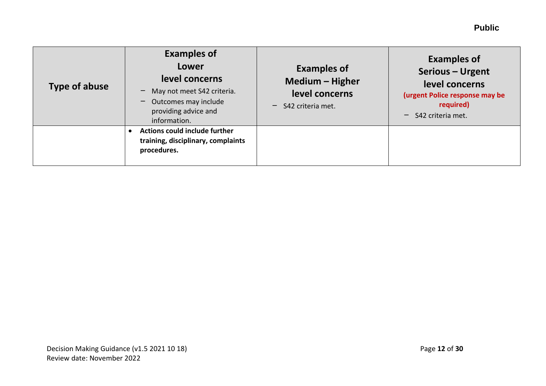| Type of abuse | <b>Examples of</b><br><b>Lower</b><br>level concerns<br>May not meet S42 criteria.<br>$-$ Outcomes may include<br>providing advice and<br>information. | <b>Examples of</b><br>Medium - Higher<br>level concerns<br>$-$ S42 criteria met. | <b>Examples of</b><br>Serious - Urgent<br>level concerns<br>(urgent Police response may be<br>required)<br>S42 criteria met.<br>$\qquad \qquad -$ |
|---------------|--------------------------------------------------------------------------------------------------------------------------------------------------------|----------------------------------------------------------------------------------|---------------------------------------------------------------------------------------------------------------------------------------------------|
|               | Actions could include further<br>training, disciplinary, complaints<br>procedures.                                                                     |                                                                                  |                                                                                                                                                   |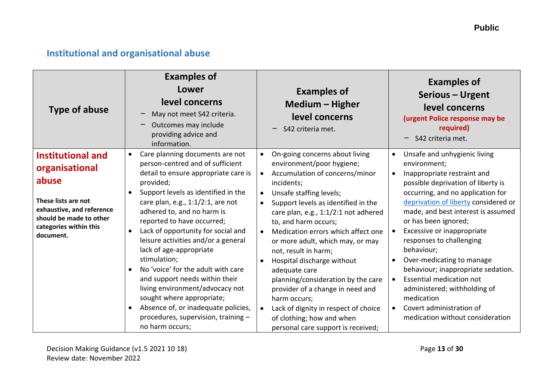## <span id="page-12-0"></span>**Institutional and organisational abuse**

| <b>Type of abuse</b>                                                                                                                                                                                | <b>Examples of</b><br>Lower<br>level concerns<br>May not meet S42 criteria.<br>Outcomes may include<br>providing advice and<br>information.                                                                                                                                                                                                                                                                                                                                                                                                                                                                       | <b>Examples of</b><br>Medium - Higher<br>level concerns<br>S42 criteria met.                                                                                                                                                                                                                                                                                                                                                                                                                                                                                                            | <b>Examples of</b><br>Serious - Urgent<br>level concerns<br>(urgent Police response may be<br>required)<br>S42 criteria met.                                                                                                                                                                                                                                                                                                                                                                                                                      |
|-----------------------------------------------------------------------------------------------------------------------------------------------------------------------------------------------------|-------------------------------------------------------------------------------------------------------------------------------------------------------------------------------------------------------------------------------------------------------------------------------------------------------------------------------------------------------------------------------------------------------------------------------------------------------------------------------------------------------------------------------------------------------------------------------------------------------------------|-----------------------------------------------------------------------------------------------------------------------------------------------------------------------------------------------------------------------------------------------------------------------------------------------------------------------------------------------------------------------------------------------------------------------------------------------------------------------------------------------------------------------------------------------------------------------------------------|---------------------------------------------------------------------------------------------------------------------------------------------------------------------------------------------------------------------------------------------------------------------------------------------------------------------------------------------------------------------------------------------------------------------------------------------------------------------------------------------------------------------------------------------------|
| <b>Institutional and</b><br>$\bullet$<br>organisational<br>abuse<br>$\bullet$<br>These lists are not<br>exhaustive, and reference<br>should be made to other<br>categories within this<br>document. | Care planning documents are not<br>person-centred and of sufficient<br>detail to ensure appropriate care is<br>provided;<br>Support levels as identified in the<br>care plan, e.g., $1:1/2:1$ , are not<br>adhered to, and no harm is<br>reported to have occurred;<br>Lack of opportunity for social and<br>leisure activities and/or a general<br>lack of age-appropriate<br>stimulation;<br>No 'voice' for the adult with care<br>and support needs within their<br>living environment/advocacy not<br>sought where appropriate;<br>Absence of, or inadequate policies,<br>procedures, supervision, training - | On-going concerns about living<br>environment/poor hygiene;<br>Accumulation of concerns/minor<br>incidents;<br>Unsafe staffing levels;<br>$\bullet$<br>Support levels as identified in the<br>care plan, e.g., 1:1/2:1 not adhered<br>to, and harm occurs;<br>Medication errors which affect one<br>$\bullet$<br>or more adult, which may, or may<br>not, result in harm;<br>Hospital discharge without<br>adequate care<br>planning/consideration by the care<br>provider of a change in need and<br>harm occurs;<br>Lack of dignity in respect of choice<br>of clothing; how and when | Unsafe and unhygienic living<br>environment;<br>Inappropriate restraint and<br>possible deprivation of liberty is<br>occurring, and no application for<br>deprivation of liberty considered or<br>made, and best interest is assumed<br>or has been ignored;<br>Excessive or inappropriate<br>responses to challenging<br>behaviour;<br>Over-medicating to manage<br>behaviour; inappropriate sedation.<br>Essential medication not<br>administered; withholding of<br>medication<br>Covert administration of<br>medication without consideration |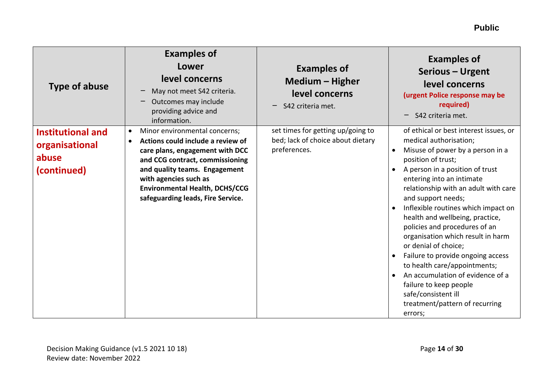| <b>Type of abuse</b>                                               | <b>Examples of</b><br>Lower<br>level concerns<br>May not meet S42 criteria.<br>Outcomes may include<br>providing advice and<br>information.                                                                                                                                                                | <b>Examples of</b><br>Medium - Higher<br>level concerns<br>S42 criteria met.           | <b>Examples of</b><br>Serious - Urgent<br>level concerns<br>(urgent Police response may be<br>required)<br>S42 criteria met.                                                                                                                                                                                                                                                                                                                                                                                                                                                                                                                                      |
|--------------------------------------------------------------------|------------------------------------------------------------------------------------------------------------------------------------------------------------------------------------------------------------------------------------------------------------------------------------------------------------|----------------------------------------------------------------------------------------|-------------------------------------------------------------------------------------------------------------------------------------------------------------------------------------------------------------------------------------------------------------------------------------------------------------------------------------------------------------------------------------------------------------------------------------------------------------------------------------------------------------------------------------------------------------------------------------------------------------------------------------------------------------------|
| <b>Institutional and</b><br>organisational<br>abuse<br>(continued) | Minor environmental concerns;<br>$\bullet$<br>Actions could include a review of<br>$\bullet$<br>care plans, engagement with DCC<br>and CCG contract, commissioning<br>and quality teams. Engagement<br>with agencies such as<br><b>Environmental Health, DCHS/CCG</b><br>safeguarding leads, Fire Service. | set times for getting up/going to<br>bed; lack of choice about dietary<br>preferences. | of ethical or best interest issues, or<br>medical authorisation;<br>Misuse of power by a person in a<br>position of trust;<br>A person in a position of trust<br>$\bullet$<br>entering into an intimate<br>relationship with an adult with care<br>and support needs;<br>Inflexible routines which impact on<br>health and wellbeing, practice,<br>policies and procedures of an<br>organisation which result in harm<br>or denial of choice;<br>Failure to provide ongoing access<br>$\bullet$<br>to health care/appointments;<br>An accumulation of evidence of a<br>failure to keep people<br>safe/consistent ill<br>treatment/pattern of recurring<br>errors; |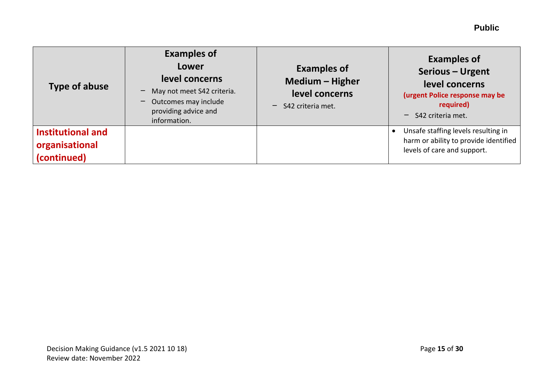| <b>Type of abuse</b>                               | <b>Examples of</b><br>Lower<br>level concerns<br>May not meet S42 criteria.<br>Outcomes may include<br>providing advice and<br>information. | <b>Examples of</b><br>Medium - Higher<br>level concerns<br>S42 criteria met. | <b>Examples of</b><br>Serious - Urgent<br>level concerns<br>(urgent Police response may be<br>required)<br>$-$ S42 criteria met. |
|----------------------------------------------------|---------------------------------------------------------------------------------------------------------------------------------------------|------------------------------------------------------------------------------|----------------------------------------------------------------------------------------------------------------------------------|
| Institutional and<br>organisational<br>(continued) |                                                                                                                                             |                                                                              | Unsafe staffing levels resulting in<br>harm or ability to provide identified<br>levels of care and support.                      |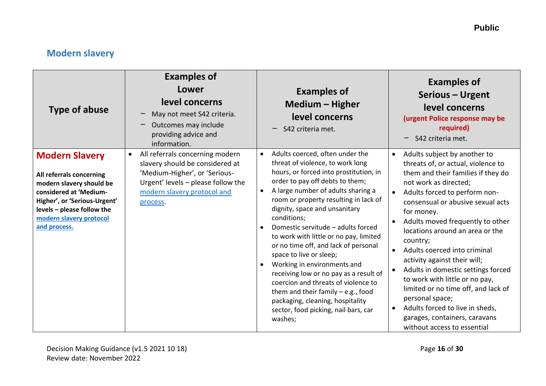## <span id="page-15-0"></span>**Modern slavery**

| <b>Type of abuse</b>                                                                                                                                                                                             | <b>Examples of</b><br>Lower<br>level concerns<br>May not meet S42 criteria.<br>Outcomes may include<br>providing advice and<br>information.                                          | <b>Examples of</b><br><b>Medium - Higher</b><br>level concerns<br>S42 criteria met.                                                                                                                                                                                                                                                                                                                                                                                                                                                                                                                                                                                               | <b>Examples of</b><br>Serious - Urgent<br>level concerns<br>(urgent Police response may be<br>required)<br>S42 criteria met.                                                                                                                                                                                                                                                                                                                                                                                                                                                                                                                         |
|------------------------------------------------------------------------------------------------------------------------------------------------------------------------------------------------------------------|--------------------------------------------------------------------------------------------------------------------------------------------------------------------------------------|-----------------------------------------------------------------------------------------------------------------------------------------------------------------------------------------------------------------------------------------------------------------------------------------------------------------------------------------------------------------------------------------------------------------------------------------------------------------------------------------------------------------------------------------------------------------------------------------------------------------------------------------------------------------------------------|------------------------------------------------------------------------------------------------------------------------------------------------------------------------------------------------------------------------------------------------------------------------------------------------------------------------------------------------------------------------------------------------------------------------------------------------------------------------------------------------------------------------------------------------------------------------------------------------------------------------------------------------------|
| <b>Modern Slavery</b><br>All referrals concerning<br>modern slavery should be<br>considered at 'Medium-<br>Higher', or 'Serious-Urgent'<br>levels - please follow the<br>modern slavery protocol<br>and process. | All referrals concerning modern<br>slavery should be considered at<br>'Medium-Higher', or 'Serious-<br>Urgent' levels - please follow the<br>modern slavery protocol and<br>process. | Adults coerced, often under the<br>threat of violence, to work long<br>hours, or forced into prostitution, in<br>order to pay off debts to them;<br>A large number of adults sharing a<br>room or property resulting in lack of<br>dignity, space and unsanitary<br>conditions;<br>Domestic servitude - adults forced<br>to work with little or no pay, limited<br>or no time off, and lack of personal<br>space to live or sleep;<br>Working in environments and<br>receiving low or no pay as a result of<br>coercion and threats of violence to<br>them and their family $-$ e.g., food<br>packaging, cleaning, hospitality<br>sector, food picking, nail bars, car<br>washes; | Adults subject by another to<br>$\bullet$<br>threats of, or actual, violence to<br>them and their families if they do<br>not work as directed;<br>Adults forced to perform non-<br>consensual or abusive sexual acts<br>for money.<br>Adults moved frequently to other<br>locations around an area or the<br>country;<br>Adults coerced into criminal<br>$\bullet$<br>activity against their will;<br>Adults in domestic settings forced<br>to work with little or no pay,<br>limited or no time off, and lack of<br>personal space;<br>Adults forced to live in sheds,<br>$\bullet$<br>garages, containers, caravans<br>without access to essential |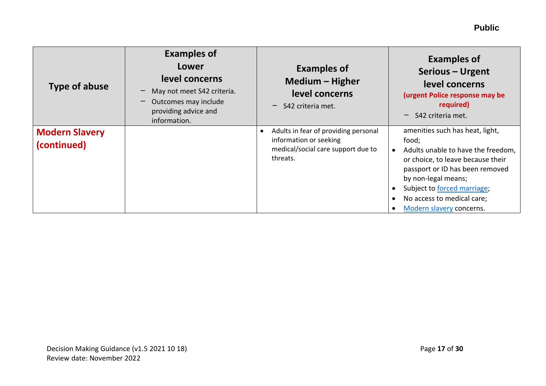| Type of abuse                        | <b>Examples of</b><br>Lower<br>level concerns<br>May not meet S42 criteria.<br>Outcomes may include<br>providing advice and<br>information. | <b>Examples of</b><br>Medium - Higher<br>level concerns<br>$-$ S42 criteria met.                                 | <b>Examples of</b><br>Serious - Urgent<br>level concerns<br>(urgent Police response may be<br>required)<br>S42 criteria met.                                                                                                                                           |
|--------------------------------------|---------------------------------------------------------------------------------------------------------------------------------------------|------------------------------------------------------------------------------------------------------------------|------------------------------------------------------------------------------------------------------------------------------------------------------------------------------------------------------------------------------------------------------------------------|
| <b>Modern Slavery</b><br>(continued) |                                                                                                                                             | Adults in fear of providing personal<br>information or seeking<br>medical/social care support due to<br>threats. | amenities such has heat, light,<br>food;<br>Adults unable to have the freedom,<br>or choice, to leave because their<br>passport or ID has been removed<br>by non-legal means;<br>Subject to forced marriage;<br>No access to medical care;<br>Modern slavery concerns. |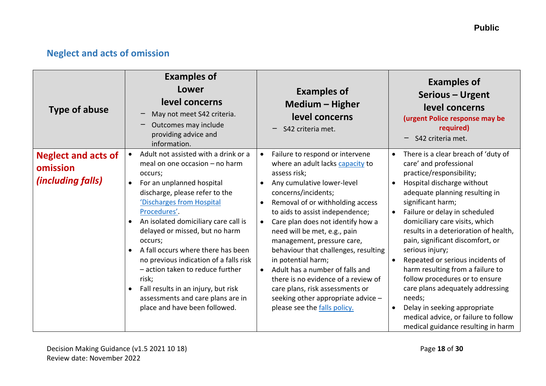## <span id="page-17-0"></span>**Neglect and acts of omission**

| <b>Type of abuse</b>                                               | <b>Examples of</b><br>Lower<br>level concerns<br>May not meet S42 criteria.<br>Outcomes may include<br>providing advice and<br>information.                                                                                                                                                                                                                                                                                                                                                                                               | <b>Examples of</b><br>Medium - Higher<br>level concerns<br>S42 criteria met.                                                                                                                                                                                                                                                                                                                                                                                                                                                                                        | <b>Examples of</b><br>Serious - Urgent<br>level concerns<br>(urgent Police response may be<br>required)<br>S42 criteria met.                                                                                                                                                                                                                                                                                                                                                                                                                                                                                                                                   |
|--------------------------------------------------------------------|-------------------------------------------------------------------------------------------------------------------------------------------------------------------------------------------------------------------------------------------------------------------------------------------------------------------------------------------------------------------------------------------------------------------------------------------------------------------------------------------------------------------------------------------|---------------------------------------------------------------------------------------------------------------------------------------------------------------------------------------------------------------------------------------------------------------------------------------------------------------------------------------------------------------------------------------------------------------------------------------------------------------------------------------------------------------------------------------------------------------------|----------------------------------------------------------------------------------------------------------------------------------------------------------------------------------------------------------------------------------------------------------------------------------------------------------------------------------------------------------------------------------------------------------------------------------------------------------------------------------------------------------------------------------------------------------------------------------------------------------------------------------------------------------------|
| <b>Neglect and acts of</b><br>omission<br><i>(including falls)</i> | Adult not assisted with a drink or a<br>meal on one occasion - no harm<br>occurs;<br>For an unplanned hospital<br>discharge, please refer to the<br>'Discharges from Hospital<br>Procedures'.<br>An isolated domiciliary care call is<br>$\bullet$<br>delayed or missed, but no harm<br>occurs;<br>A fall occurs where there has been<br>no previous indication of a falls risk<br>- action taken to reduce further<br>risk;<br>Fall results in an injury, but risk<br>assessments and care plans are in<br>place and have been followed. | Failure to respond or intervene<br>where an adult lacks capacity to<br>assess risk;<br>Any cumulative lower-level<br>concerns/incidents;<br>Removal of or withholding access<br>to aids to assist independence;<br>Care plan does not identify how a<br>need will be met, e.g., pain<br>management, pressure care,<br>behaviour that challenges, resulting<br>in potential harm;<br>Adult has a number of falls and<br>there is no evidence of a review of<br>care plans, risk assessments or<br>seeking other appropriate advice -<br>please see the falls policy. | There is a clear breach of 'duty of<br>$\bullet$<br>care' and professional<br>practice/responsibility;<br>Hospital discharge without<br>$\bullet$<br>adequate planning resulting in<br>significant harm;<br>Failure or delay in scheduled<br>$\bullet$<br>domiciliary care visits, which<br>results in a deterioration of health,<br>pain, significant discomfort, or<br>serious injury;<br>Repeated or serious incidents of<br>harm resulting from a failure to<br>follow procedures or to ensure<br>care plans adequately addressing<br>needs;<br>Delay in seeking appropriate<br>medical advice, or failure to follow<br>medical guidance resulting in harm |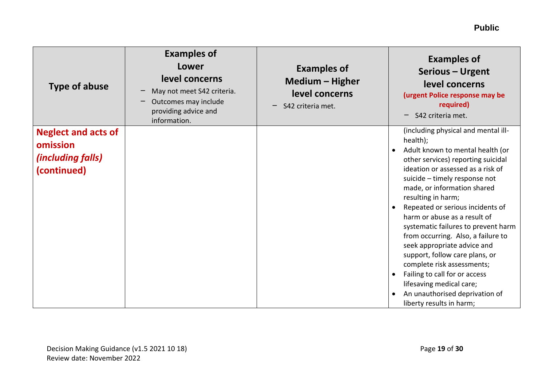| <b>Type of abuse</b>                                                              | <b>Examples of</b><br>Lower<br>level concerns<br>May not meet S42 criteria.<br>Outcomes may include<br>providing advice and<br>information. | <b>Examples of</b><br>Medium - Higher<br>level concerns<br>S42 criteria met. | <b>Examples of</b><br>Serious - Urgent<br>level concerns<br>(urgent Police response may be<br>required)<br>S42 criteria met.<br>—                                                                                                                                                                                                                                                                                                                                                                                                                                                                                               |
|-----------------------------------------------------------------------------------|---------------------------------------------------------------------------------------------------------------------------------------------|------------------------------------------------------------------------------|---------------------------------------------------------------------------------------------------------------------------------------------------------------------------------------------------------------------------------------------------------------------------------------------------------------------------------------------------------------------------------------------------------------------------------------------------------------------------------------------------------------------------------------------------------------------------------------------------------------------------------|
| <b>Neglect and acts of</b><br>omission<br><i>(including falls)</i><br>(continued) |                                                                                                                                             |                                                                              | (including physical and mental ill-<br>health);<br>Adult known to mental health (or<br>other services) reporting suicidal<br>ideation or assessed as a risk of<br>suicide - timely response not<br>made, or information shared<br>resulting in harm;<br>Repeated or serious incidents of<br>harm or abuse as a result of<br>systematic failures to prevent harm<br>from occurring. Also, a failure to<br>seek appropriate advice and<br>support, follow care plans, or<br>complete risk assessments;<br>Failing to call for or access<br>lifesaving medical care;<br>An unauthorised deprivation of<br>liberty results in harm; |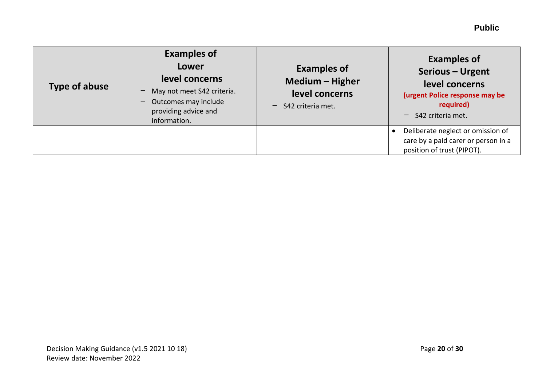| <b>Type of abuse</b> | <b>Examples of</b><br><b>Lower</b><br>level concerns<br>May not meet S42 criteria.<br>Outcomes may include<br>providing advice and<br>information. | <b>Examples of</b><br>Medium - Higher<br>level concerns<br>$-$ S42 criteria met. | <b>Examples of</b><br>Serious - Urgent<br>level concerns<br>(urgent Police response may be<br>required)<br>$-$ S42 criteria met. |
|----------------------|----------------------------------------------------------------------------------------------------------------------------------------------------|----------------------------------------------------------------------------------|----------------------------------------------------------------------------------------------------------------------------------|
|                      |                                                                                                                                                    |                                                                                  | Deliberate neglect or omission of<br>care by a paid carer or person in a<br>position of trust (PIPOT).                           |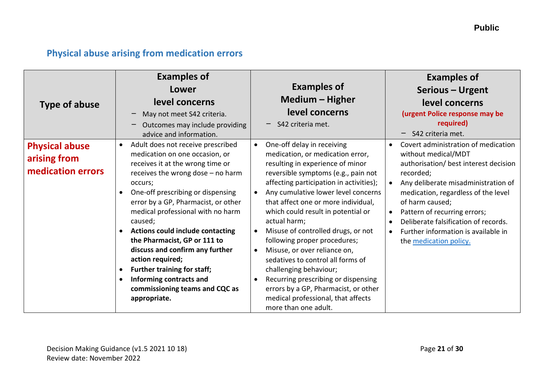## <span id="page-20-0"></span>**Physical abuse arising from medication errors**

| <b>Type of abuse</b>                                       | <b>Examples of</b><br>Lower<br>level concerns<br>May not meet S42 criteria.<br><u>—</u><br>Outcomes may include providing<br>advice and information.                                                                                                                                                                                                                                                                                                                                                                                                                                         | <b>Examples of</b><br>Medium - Higher<br>level concerns<br>S42 criteria met.                                                                                                                                                                                                                                                                                                                                                                                                                                                                                                                                                                            | <b>Examples of</b><br>Serious - Urgent<br>level concerns<br>(urgent Police response may be<br>required)<br>S42 criteria met.<br>-                                                                                                                                                                                                                          |
|------------------------------------------------------------|----------------------------------------------------------------------------------------------------------------------------------------------------------------------------------------------------------------------------------------------------------------------------------------------------------------------------------------------------------------------------------------------------------------------------------------------------------------------------------------------------------------------------------------------------------------------------------------------|---------------------------------------------------------------------------------------------------------------------------------------------------------------------------------------------------------------------------------------------------------------------------------------------------------------------------------------------------------------------------------------------------------------------------------------------------------------------------------------------------------------------------------------------------------------------------------------------------------------------------------------------------------|------------------------------------------------------------------------------------------------------------------------------------------------------------------------------------------------------------------------------------------------------------------------------------------------------------------------------------------------------------|
| <b>Physical abuse</b><br>arising from<br>medication errors | Adult does not receive prescribed<br>$\bullet$<br>medication on one occasion, or<br>receives it at the wrong time or<br>receives the wrong dose - no harm<br>occurs;<br>One-off prescribing or dispensing<br>error by a GP, Pharmacist, or other<br>medical professional with no harm<br>caused;<br><b>Actions could include contacting</b><br>$\bullet$<br>the Pharmacist, GP or 111 to<br>discuss and confirm any further<br>action required;<br><b>Further training for staff;</b><br>$\bullet$<br>Informing contracts and<br>$\bullet$<br>commissioning teams and CQC as<br>appropriate. | One-off delay in receiving<br>$\bullet$<br>medication, or medication error,<br>resulting in experience of minor<br>reversible symptoms (e.g., pain not<br>affecting participation in activities);<br>Any cumulative lower level concerns<br>that affect one or more individual,<br>which could result in potential or<br>actual harm;<br>Misuse of controlled drugs, or not<br>following proper procedures;<br>Misuse, or over reliance on,<br>sedatives to control all forms of<br>challenging behaviour;<br>Recurring prescribing or dispensing<br>errors by a GP, Pharmacist, or other<br>medical professional, that affects<br>more than one adult. | Covert administration of medication<br>without medical/MDT<br>authorisation/ best interest decision<br>recorded;<br>Any deliberate misadministration of<br>medication, regardless of the level<br>of harm caused;<br>Pattern of recurring errors;<br>Deliberate falsification of records.<br>Further information is available in<br>the medication policy. |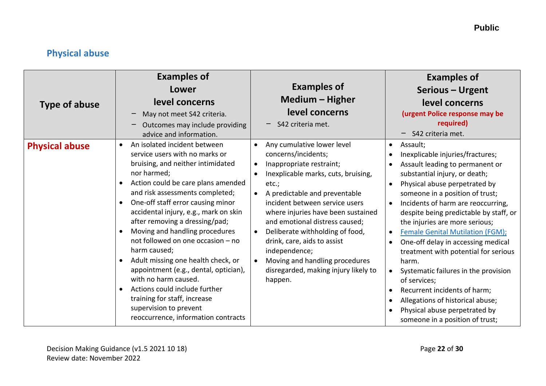## <span id="page-21-0"></span>**Physical abuse**

| <b>Type of abuse</b>  | <b>Examples of</b><br>Lower<br>level concerns<br>May not meet S42 criteria.<br>Outcomes may include providing<br>advice and information.                                                                                                                                                                                                                                                                                                                                                                                                                                                                                                                                                                     | <b>Examples of</b><br><b>Medium - Higher</b><br>level concerns<br>S42 criteria met.                                                                                                                                                                                                                                                                                                                                                                                                     | <b>Examples of</b><br>Serious - Urgent<br>level concerns<br>(urgent Police response may be<br>required)<br>S42 criteria met.                                                                                                                                                                                                                                                                                                                                                                                                                                                                                                                                       |
|-----------------------|--------------------------------------------------------------------------------------------------------------------------------------------------------------------------------------------------------------------------------------------------------------------------------------------------------------------------------------------------------------------------------------------------------------------------------------------------------------------------------------------------------------------------------------------------------------------------------------------------------------------------------------------------------------------------------------------------------------|-----------------------------------------------------------------------------------------------------------------------------------------------------------------------------------------------------------------------------------------------------------------------------------------------------------------------------------------------------------------------------------------------------------------------------------------------------------------------------------------|--------------------------------------------------------------------------------------------------------------------------------------------------------------------------------------------------------------------------------------------------------------------------------------------------------------------------------------------------------------------------------------------------------------------------------------------------------------------------------------------------------------------------------------------------------------------------------------------------------------------------------------------------------------------|
| <b>Physical abuse</b> | An isolated incident between<br>$\bullet$<br>service users with no marks or<br>bruising, and neither intimidated<br>nor harmed;<br>Action could be care plans amended<br>$\bullet$<br>and risk assessments completed;<br>One-off staff error causing minor<br>accidental injury, e.g., mark on skin<br>after removing a dressing/pad;<br>Moving and handling procedures<br>$\bullet$<br>not followed on one occasion - no<br>harm caused;<br>Adult missing one health check, or<br>$\bullet$<br>appointment (e.g., dental, optician),<br>with no harm caused.<br>Actions could include further<br>$\bullet$<br>training for staff, increase<br>supervision to prevent<br>reoccurrence, information contracts | Any cumulative lower level<br>$\bullet$<br>concerns/incidents;<br>Inappropriate restraint;<br>$\bullet$<br>Inexplicable marks, cuts, bruising,<br>etc.;<br>A predictable and preventable<br>incident between service users<br>where injuries have been sustained<br>and emotional distress caused;<br>Deliberate withholding of food,<br>$\bullet$<br>drink, care, aids to assist<br>independence;<br>Moving and handling procedures<br>disregarded, making injury likely to<br>happen. | Assault;<br>$\bullet$<br>Inexplicable injuries/fractures;<br>Assault leading to permanent or<br>substantial injury, or death;<br>Physical abuse perpetrated by<br>someone in a position of trust;<br>Incidents of harm are reoccurring,<br>$\bullet$<br>despite being predictable by staff, or<br>the injuries are more serious;<br><b>Female Genital Mutilation (FGM);</b><br>One-off delay in accessing medical<br>treatment with potential for serious<br>harm.<br>Systematic failures in the provision<br>of services;<br>Recurrent incidents of harm;<br>Allegations of historical abuse;<br>Physical abuse perpetrated by<br>someone in a position of trust; |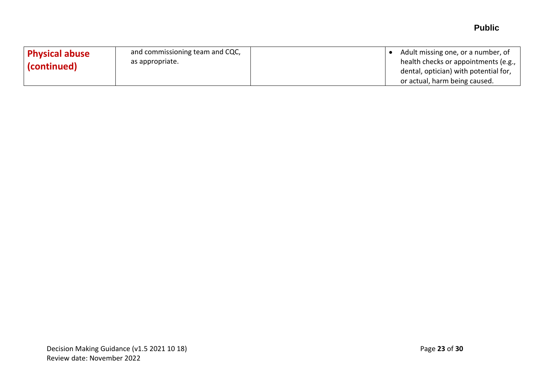| <b>Physical abuse</b><br>$\mid$ (continued) $\mid$ | and commissioning team and CQC,<br>as appropriate. | Adult missing one, or a number, of<br>health checks or appointments (e.g.,<br>dental, optician) with potential for, |
|----------------------------------------------------|----------------------------------------------------|---------------------------------------------------------------------------------------------------------------------|
|                                                    |                                                    | or actual, harm being caused.                                                                                       |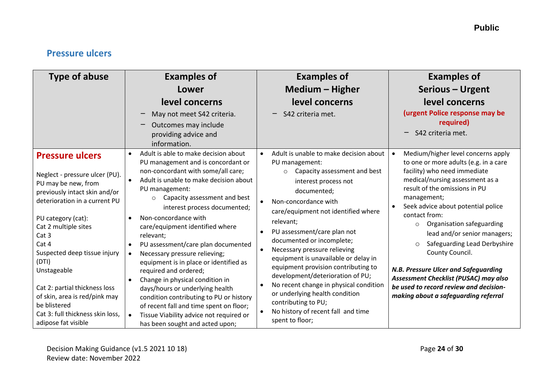## <span id="page-23-0"></span>**Pressure ulcers**

| <b>Type of abuse</b>                                                                                                                                                                                                                                                                                                                                                                                                              | <b>Examples of</b><br>Lower<br>level concerns<br>May not meet S42 criteria.<br>Outcomes may include<br>providing advice and<br>information.                                                                                                                                                                                                                                                                                                                                                                                                                                                                                                                                                                                                   | <b>Examples of</b><br>Medium - Higher<br>level concerns<br>S42 criteria met.                                                                                                                                                                                                                                                                                                                                                                                                                                                                                                                      | <b>Examples of</b><br>Serious - Urgent<br>level concerns<br>(urgent Police response may be<br>required)<br>S42 criteria met.                                                                                                                                                                                                                                                                                                                                                                                                                                                |
|-----------------------------------------------------------------------------------------------------------------------------------------------------------------------------------------------------------------------------------------------------------------------------------------------------------------------------------------------------------------------------------------------------------------------------------|-----------------------------------------------------------------------------------------------------------------------------------------------------------------------------------------------------------------------------------------------------------------------------------------------------------------------------------------------------------------------------------------------------------------------------------------------------------------------------------------------------------------------------------------------------------------------------------------------------------------------------------------------------------------------------------------------------------------------------------------------|---------------------------------------------------------------------------------------------------------------------------------------------------------------------------------------------------------------------------------------------------------------------------------------------------------------------------------------------------------------------------------------------------------------------------------------------------------------------------------------------------------------------------------------------------------------------------------------------------|-----------------------------------------------------------------------------------------------------------------------------------------------------------------------------------------------------------------------------------------------------------------------------------------------------------------------------------------------------------------------------------------------------------------------------------------------------------------------------------------------------------------------------------------------------------------------------|
| <b>Pressure ulcers</b><br>Neglect - pressure ulcer (PU).<br>PU may be new, from<br>previously intact skin and/or<br>deterioration in a current PU<br>PU category (cat):<br>Cat 2 multiple sites<br>Cat <sub>3</sub><br>Cat 4<br>Suspected deep tissue injury<br>(DTI)<br>Unstageable<br>Cat 2: partial thickness loss<br>of skin, area is red/pink may<br>be blistered<br>Cat 3: full thickness skin loss,<br>adipose fat visible | Adult is able to make decision about<br>$\bullet$<br>PU management and is concordant or<br>non-concordant with some/all care;<br>Adult is unable to make decision about<br>PU management:<br>Capacity assessment and best<br>$\circ$<br>interest process documented;<br>Non-concordance with<br>care/equipment identified where<br>relevant;<br>PU assessment/care plan documented<br>$\bullet$<br>Necessary pressure relieving;<br>equipment is in place or identified as<br>required and ordered;<br>Change in physical condition in<br>days/hours or underlying health<br>condition contributing to PU or history<br>of recent fall and time spent on floor;<br>Tissue Viability advice not required or<br>has been sought and acted upon; | Adult is unable to make decision about<br>PU management:<br>Capacity assessment and best<br>$\circ$<br>interest process not<br>documented;<br>Non-concordance with<br>care/equipment not identified where<br>relevant;<br>PU assessment/care plan not<br>documented or incomplete;<br>Necessary pressure relieving<br>equipment is unavailable or delay in<br>equipment provision contributing to<br>development/deterioration of PU;<br>No recent change in physical condition<br>or underlying health condition<br>contributing to PU;<br>No history of recent fall and time<br>spent to floor; | Medium/higher level concerns apply<br>to one or more adults (e.g. in a care<br>facility) who need immediate<br>medical/nursing assessment as a<br>result of the omissions in PU<br>management;<br>Seek advice about potential police<br>$\bullet$<br>contact from:<br>Organisation safeguarding<br>$\circ$<br>lead and/or senior managers;<br>Safeguarding Lead Derbyshire<br>$\circ$<br>County Council.<br>N.B. Pressure Ulcer and Safeguarding<br>Assessment Checklist (PUSAC) may also<br>be used to record review and decision-<br>making about a safeguarding referral |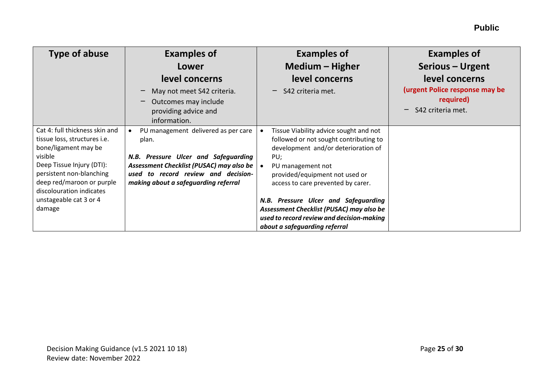| <b>Type of abuse</b>                                                                                                                                                                                                                          | <b>Examples of</b><br>Lower<br>level concerns<br>May not meet S42 criteria.                                                                                                                                     | <b>Examples of</b><br>Medium - Higher<br>level concerns<br>S42 criteria met.                                                                                                                                                                                        | <b>Examples of</b><br>Serious - Urgent<br>level concerns<br>(urgent Police response may be |
|-----------------------------------------------------------------------------------------------------------------------------------------------------------------------------------------------------------------------------------------------|-----------------------------------------------------------------------------------------------------------------------------------------------------------------------------------------------------------------|---------------------------------------------------------------------------------------------------------------------------------------------------------------------------------------------------------------------------------------------------------------------|--------------------------------------------------------------------------------------------|
|                                                                                                                                                                                                                                               | Outcomes may include<br>providing advice and<br>information.                                                                                                                                                    |                                                                                                                                                                                                                                                                     | required)<br>S42 criteria met.<br>—                                                        |
| Cat 4: full thickness skin and<br>tissue loss, structures i.e.<br>bone/ligament may be<br>visible<br>Deep Tissue Injury (DTI):<br>persistent non-blanching<br>deep red/maroon or purple<br>discolouration indicates<br>unstageable cat 3 or 4 | PU management delivered as per care<br>plan.<br>N.B. Pressure Ulcer and Safeguarding<br>Assessment Checklist (PUSAC) may also be<br>used to record review and decision-<br>making about a safeguarding referral | Tissue Viability advice sought and not<br>followed or not sought contributing to<br>development and/or deterioration of<br>PU;<br>PU management not<br>provided/equipment not used or<br>access to care prevented by carer.<br>N.B. Pressure Ulcer and Safeguarding |                                                                                            |
| damage                                                                                                                                                                                                                                        |                                                                                                                                                                                                                 | Assessment Checklist (PUSAC) may also be<br>used to record review and decision-making<br>about a safeguarding referral                                                                                                                                              |                                                                                            |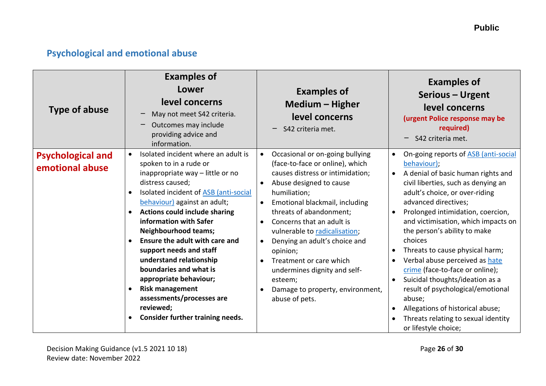## <span id="page-25-0"></span>**Psychological and emotional abuse**

| <b>Type of abuse</b>                        | <b>Examples of</b><br>Lower<br>level concerns<br>May not meet S42 criteria.<br>Outcomes may include<br>providing advice and<br>information.                                                                                                                                                                                                                                                                                                                                                                                                                      | <b>Examples of</b><br><b>Medium - Higher</b><br>level concerns<br>S42 criteria met.                                                                                                                                                                                                                                                                                                                                                                                             | <b>Examples of</b><br>Serious - Urgent<br>level concerns<br>(urgent Police response may be<br>required)<br>S42 criteria met.                                                                                                                                                                                                                                                                                                                                                                                                                                                                                                |
|---------------------------------------------|------------------------------------------------------------------------------------------------------------------------------------------------------------------------------------------------------------------------------------------------------------------------------------------------------------------------------------------------------------------------------------------------------------------------------------------------------------------------------------------------------------------------------------------------------------------|---------------------------------------------------------------------------------------------------------------------------------------------------------------------------------------------------------------------------------------------------------------------------------------------------------------------------------------------------------------------------------------------------------------------------------------------------------------------------------|-----------------------------------------------------------------------------------------------------------------------------------------------------------------------------------------------------------------------------------------------------------------------------------------------------------------------------------------------------------------------------------------------------------------------------------------------------------------------------------------------------------------------------------------------------------------------------------------------------------------------------|
| <b>Psychological and</b><br>emotional abuse | Isolated incident where an adult is<br>spoken to in a rude or<br>inappropriate way - little or no<br>distress caused;<br>Isolated incident of ASB (anti-social<br>behaviour) against an adult;<br><b>Actions could include sharing</b><br>$\bullet$<br>information with Safer<br><b>Neighbourhood teams;</b><br>Ensure the adult with care and<br>support needs and staff<br>understand relationship<br>boundaries and what is<br>appropriate behaviour;<br><b>Risk management</b><br>assessments/processes are<br>reviewed;<br>Consider further training needs. | Occasional or on-going bullying<br>$\bullet$<br>(face-to-face or online), which<br>causes distress or intimidation;<br>Abuse designed to cause<br>humiliation;<br>Emotional blackmail, including<br>threats of abandonment;<br>Concerns that an adult is<br>$\bullet$<br>vulnerable to radicalisation;<br>Denying an adult's choice and<br>opinion;<br>Treatment or care which<br>undermines dignity and self-<br>esteem;<br>Damage to property, environment,<br>abuse of pets. | On-going reports of ASB (anti-social<br>behaviour);<br>A denial of basic human rights and<br>civil liberties, such as denying an<br>adult's choice, or over-riding<br>advanced directives;<br>Prolonged intimidation, coercion,<br>and victimisation, which impacts on<br>the person's ability to make<br>choices<br>Threats to cause physical harm;<br>Verbal abuse perceived as hate<br>crime (face-to-face or online);<br>Suicidal thoughts/ideation as a<br>$\bullet$<br>result of psychological/emotional<br>abuse;<br>Allegations of historical abuse;<br>Threats relating to sexual identity<br>or lifestyle choice; |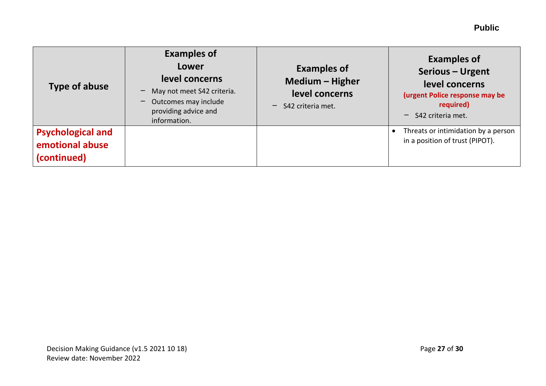| Type of abuse                                              | <b>Examples of</b><br>Lower<br>level concerns<br>May not meet S42 criteria.<br>Outcomes may include<br>providing advice and<br>information. | <b>Examples of</b><br>Medium - Higher<br>level concerns<br>S42 criteria met. | <b>Examples of</b><br>Serious - Urgent<br>level concerns<br>(urgent Police response may be<br>required)<br>S42 criteria met.<br>— |
|------------------------------------------------------------|---------------------------------------------------------------------------------------------------------------------------------------------|------------------------------------------------------------------------------|-----------------------------------------------------------------------------------------------------------------------------------|
| <b>Psychological and</b><br>emotional abuse<br>(continued) |                                                                                                                                             |                                                                              | Threats or intimidation by a person<br>$\bullet$<br>in a position of trust (PIPOT).                                               |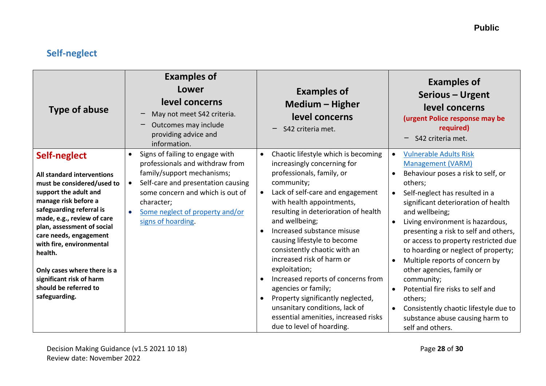## <span id="page-27-0"></span>**Self-neglect**

| <b>Type of abuse</b>                                                                                                                                                                                                                                                                                                                                                                    | <b>Examples of</b><br>Lower<br>level concerns<br>May not meet S42 criteria.<br>Outcomes may include<br>providing advice and<br>information.                                                                                                       | <b>Examples of</b><br><b>Medium - Higher</b><br>level concerns<br>S42 criteria met.                                                                                                                                                                                                                                                                                                                                                                                                                                                                                                                                    | <b>Examples of</b><br>Serious - Urgent<br>level concerns<br>(urgent Police response may be<br>required)<br>S42 criteria met.                                                                                                                                                                                                                                                                                                                                                                                                                                                                               |
|-----------------------------------------------------------------------------------------------------------------------------------------------------------------------------------------------------------------------------------------------------------------------------------------------------------------------------------------------------------------------------------------|---------------------------------------------------------------------------------------------------------------------------------------------------------------------------------------------------------------------------------------------------|------------------------------------------------------------------------------------------------------------------------------------------------------------------------------------------------------------------------------------------------------------------------------------------------------------------------------------------------------------------------------------------------------------------------------------------------------------------------------------------------------------------------------------------------------------------------------------------------------------------------|------------------------------------------------------------------------------------------------------------------------------------------------------------------------------------------------------------------------------------------------------------------------------------------------------------------------------------------------------------------------------------------------------------------------------------------------------------------------------------------------------------------------------------------------------------------------------------------------------------|
| Self-neglect<br>All standard interventions<br>must be considered/used to<br>support the adult and<br>manage risk before a<br>safeguarding referral is<br>made, e.g., review of care<br>plan, assessment of social<br>care needs, engagement<br>with fire, environmental<br>health.<br>Only cases where there is a<br>significant risk of harm<br>should be referred to<br>safeguarding. | Signs of failing to engage with<br>professionals and withdraw from<br>family/support mechanisms;<br>Self-care and presentation causing<br>some concern and which is out of<br>character;<br>Some neglect of property and/or<br>signs of hoarding. | Chaotic lifestyle which is becoming<br>$\bullet$<br>increasingly concerning for<br>professionals, family, or<br>community;<br>Lack of self-care and engagement<br>$\bullet$<br>with health appointments,<br>resulting in deterioration of health<br>and wellbeing;<br>Increased substance misuse<br>causing lifestyle to become<br>consistently chaotic with an<br>increased risk of harm or<br>exploitation;<br>Increased reports of concerns from<br>agencies or family;<br>Property significantly neglected,<br>unsanitary conditions, lack of<br>essential amenities, increased risks<br>due to level of hoarding. | <b>Vulnerable Adults Risk</b><br><b>Management (VARM)</b><br>Behaviour poses a risk to self, or<br>others;<br>Self-neglect has resulted in a<br>$\bullet$<br>significant deterioration of health<br>and wellbeing;<br>Living environment is hazardous,<br>presenting a risk to self and others,<br>or access to property restricted due<br>to hoarding or neglect of property;<br>Multiple reports of concern by<br>other agencies, family or<br>community;<br>Potential fire risks to self and<br>others;<br>Consistently chaotic lifestyle due to<br>substance abuse causing harm to<br>self and others. |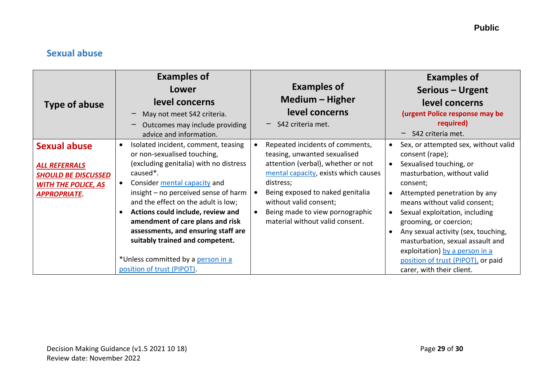### <span id="page-28-0"></span>**Sexual abuse**

| Type of abuse                                                                                                                  | <b>Examples of</b><br>Lower<br>level concerns<br>May not meet S42 criteria.<br>Outcomes may include providing<br>$\qquad \qquad -$<br>advice and information.                                                                                                                                                                                                                                                                                                                                         | <b>Examples of</b><br>Medium – Higher<br>level concerns<br>$-$ S42 criteria met.                                                                                                                                                                                                                                         | <b>Examples of</b><br>Serious - Urgent<br>level concerns<br>(urgent Police response may be<br>required)<br>S42 criteria met.                                                                                                                                                                                                                                                                                                              |
|--------------------------------------------------------------------------------------------------------------------------------|-------------------------------------------------------------------------------------------------------------------------------------------------------------------------------------------------------------------------------------------------------------------------------------------------------------------------------------------------------------------------------------------------------------------------------------------------------------------------------------------------------|--------------------------------------------------------------------------------------------------------------------------------------------------------------------------------------------------------------------------------------------------------------------------------------------------------------------------|-------------------------------------------------------------------------------------------------------------------------------------------------------------------------------------------------------------------------------------------------------------------------------------------------------------------------------------------------------------------------------------------------------------------------------------------|
| <b>Sexual abuse</b><br><b>ALL REFERRALS</b><br><b>SHOULD BE DISCUSSED</b><br><b>WITH THE POLICE, AS</b><br><b>APPROPRIATE.</b> | Isolated incident, comment, teasing<br>$\bullet$<br>or non-sexualised touching,<br>(excluding genitalia) with no distress<br>caused <sup>*</sup> .<br>Consider mental capacity and<br>insight - no perceived sense of harm<br>and the effect on the adult is low;<br>Actions could include, review and<br>$\bullet$<br>amendment of care plans and risk<br>assessments, and ensuring staff are<br>suitably trained and competent.<br>*Unless committed by a person in a<br>position of trust (PIPOT). | Repeated incidents of comments,<br>$\bullet$<br>teasing, unwanted sexualised<br>attention (verbal), whether or not<br>mental capacity, exists which causes<br>distress;<br>Being exposed to naked genitalia<br>without valid consent;<br>Being made to view pornographic<br>$\bullet$<br>material without valid consent. | Sex, or attempted sex, without valid<br>consent (rape);<br>Sexualised touching, or<br>masturbation, without valid<br>consent;<br>Attempted penetration by any<br>means without valid consent;<br>Sexual exploitation, including<br>grooming, or coercion;<br>Any sexual activity (sex, touching,<br>masturbation, sexual assault and<br>exploitation) by a person in a<br>position of trust (PIPOT), or paid<br>carer, with their client. |